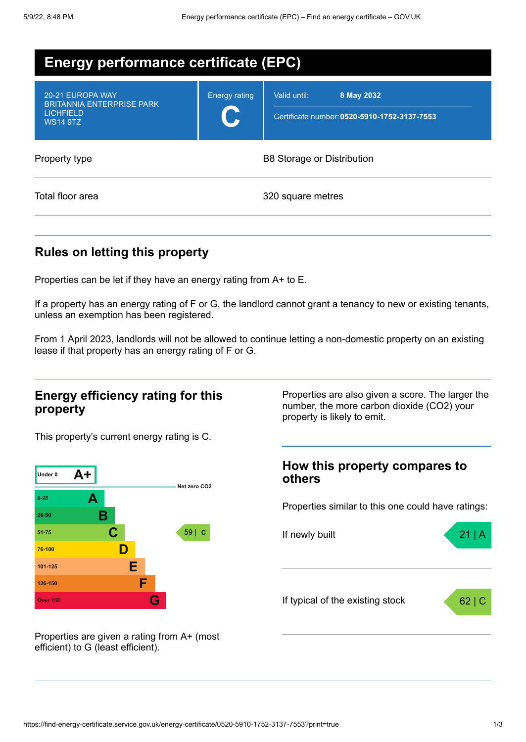| <b>Energy performance certificate (EPC)</b>                                                 |                      |                                                                            |
|---------------------------------------------------------------------------------------------|----------------------|----------------------------------------------------------------------------|
| 20-21 EUROPA WAY<br><b>BRITANNIA ENTERPRISE PARK</b><br><b>LICHFIELD</b><br><b>WS14 9TZ</b> | <b>Energy rating</b> | Valid until:<br>8 May 2032<br>Certificate number: 0520-5910-1752-3137-7553 |
| Property type                                                                               |                      | <b>B8 Storage or Distribution</b>                                          |
| Total floor area                                                                            |                      | 320 square metres                                                          |

## **Rules on letting this property**

Properties can be let if they have an energy rating from A+ to E.

If a property has an energy rating of F or G, the landlord cannot grant a tenancy to new or existing tenants, unless an exemption has been registered.

From 1 April 2023, landlords will not be allowed to continue letting a non-domestic property on an existing lease if that property has an energy rating of F or G.

### **Energy efficiency rating for this property**

Properties are also given a score. The larger the number, the more carbon dioxide (CO2) your property is likely to emit.

This property's current energy rating is C.



**How this property compares to others**

Properties similar to this one could have ratings:



Properties are given a rating from A+ (most efficient) to G (least efficient).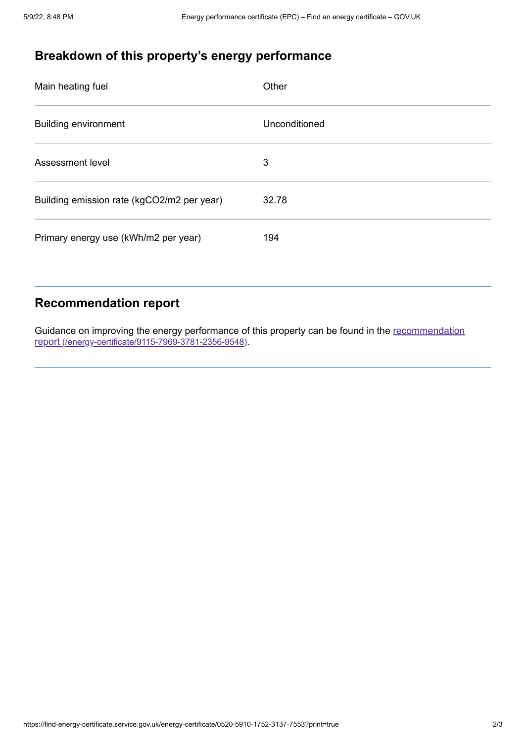# **Breakdown of this property's energy performance**

| Main heating fuel                          | Other         |
|--------------------------------------------|---------------|
| <b>Building environment</b>                | Unconditioned |
| Assessment level                           | 3             |
| Building emission rate (kgCO2/m2 per year) | 32.78         |
| Primary energy use (kWh/m2 per year)       | 194           |

## **Recommendation report**

Guidance on improving the energy performance of this property can be found in the recommendation report [\(/energy-certificate/9115-7969-3781-2356-9548\)](https://find-energy-certificate.service.gov.uk/energy-certificate/9115-7969-3781-2356-9548).